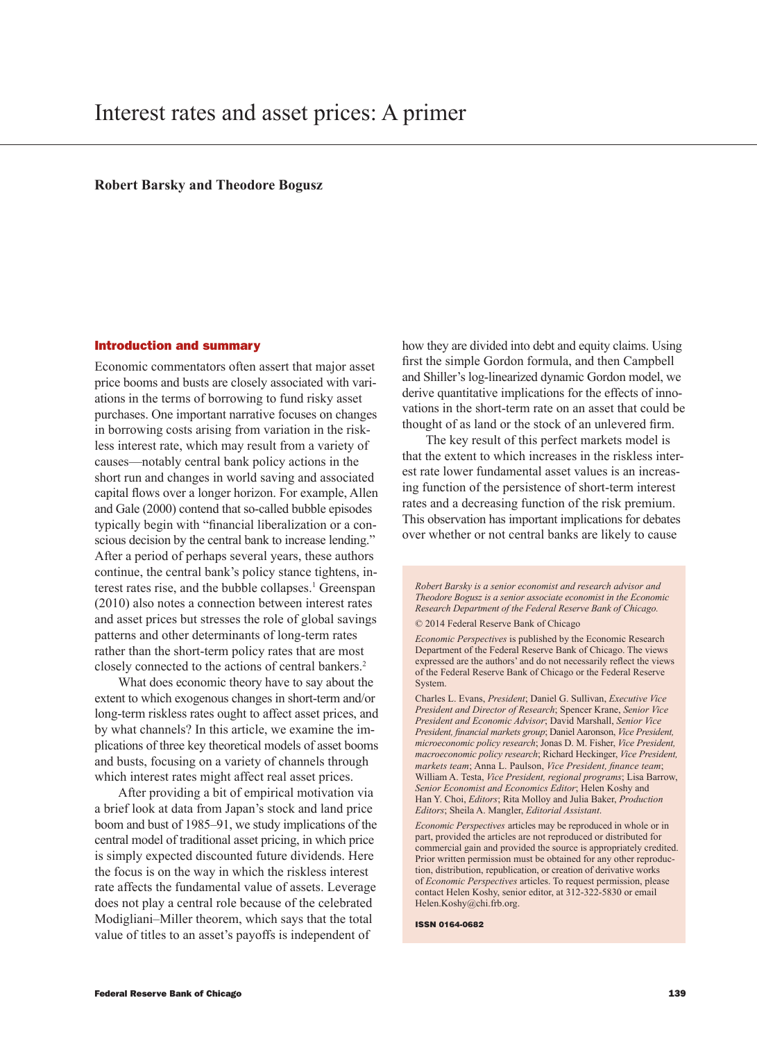## **Robert Barsky and Theodore Bogusz**

#### Introduction and summary

Economic commentators often assert that major asset price booms and busts are closely associated with variations in the terms of borrowing to fund risky asset purchases. One important narrative focuses on changes in borrowing costs arising from variation in the riskless interest rate, which may result from a variety of causes—notably central bank policy actions in the short run and changes in world saving and associated capital flows over a longer horizon. For example, Allen and Gale (2000) contend that so-called bubble episodes typically begin with "financial liberalization or a conscious decision by the central bank to increase lending." After a period of perhaps several years, these authors continue, the central bank's policy stance tightens, interest rates rise, and the bubble collapses.<sup>1</sup> Greenspan (2010) also notes a connection between interest rates and asset prices but stresses the role of global savings patterns and other determinants of long-term rates rather than the short-term policy rates that are most closely connected to the actions of central bankers.2

What does economic theory have to say about the extent to which exogenous changes in short-term and/or long-term riskless rates ought to affect asset prices, and by what channels? In this article, we examine the implications of three key theoretical models of asset booms and busts, focusing on a variety of channels through which interest rates might affect real asset prices.

After providing a bit of empirical motivation via a brief look at data from Japan's stock and land price boom and bust of 1985–91, we study implications of the central model of traditional asset pricing, in which price is simply expected discounted future dividends. Here the focus is on the way in which the riskless interest rate affects the fundamental value of assets. Leverage does not play a central role because of the celebrated Modigliani–Miller theorem, which says that the total value of titles to an asset's payoffs is independent of

how they are divided into debt and equity claims. Using first the simple Gordon formula, and then Campbell and Shiller's log-linearized dynamic Gordon model, we derive quantitative implications for the effects of innovations in the short-term rate on an asset that could be thought of as land or the stock of an unlevered firm.

The key result of this perfect markets model is that the extent to which increases in the riskless interest rate lower fundamental asset values is an increasing function of the persistence of short-term interest rates and a decreasing function of the risk premium. This observation has important implications for debates over whether or not central banks are likely to cause

*Robert Barsky is a senior economist and research advisor and Theodore Bogusz is a senior associate economist in the Economic Research Department of the Federal Reserve Bank of Chicago.*  © 2014 Federal Reserve Bank of Chicago

*Economic Perspectives* is published by the Economic Research Department of the Federal Reserve Bank of Chicago. The views expressed are the authors' and do not necessarily reflect the views of the Federal Reserve Bank of Chicago or the Federal Reserve System.

Charles L. Evans, *President*; Daniel G. Sullivan, *Executive Vice President and Director of Research*; Spencer Krane, *Senior Vice President and Economic Advisor*; David Marshall, *Senior Vice President, financial markets group*; Daniel Aaronson, *Vice President, microeconomic policy research*; Jonas D. M. Fisher, *Vice President, macroeconomic policy research*; Richard Heckinger, *Vice President, markets team*; Anna L. Paulson, *Vice President, finance team*; William A. Testa, *Vice President, regional programs*; Lisa Barrow, *Senior Economist and Economics Editor*; Helen Koshy and Han Y. Choi, *Editors*; Rita Molloy and Julia Baker, *Production Editors*; Sheila A. Mangler, *Editorial Assistant*.

*Economic Perspectives* articles may be reproduced in whole or in part, provided the articles are not reproduced or distributed for commercial gain and provided the source is appropriately credited. Prior written permission must be obtained for any other reproduction, distribution, republication, or creation of derivative works of *Economic Perspectives* articles. To request permission, please contact Helen Koshy, senior editor, at 312-322-5830 or email Helen.Koshy@chi.frb.org.

ISSN 0164-0682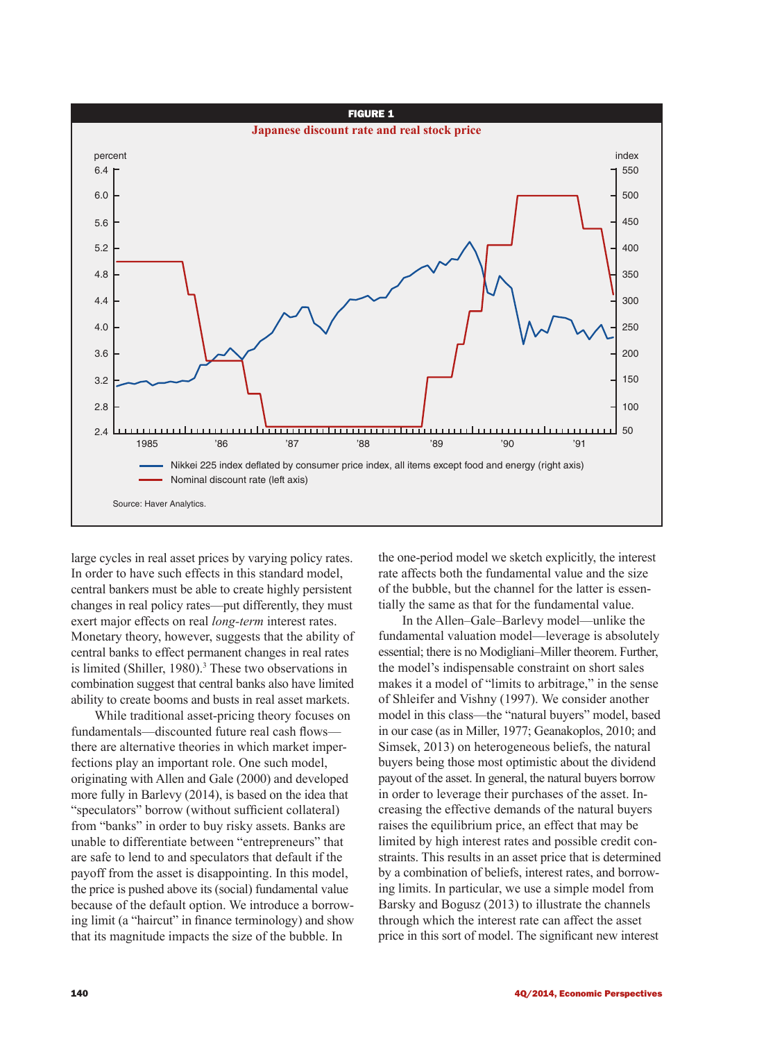

large cycles in real asset prices by varying policy rates. In order to have such effects in this standard model, central bankers must be able to create highly persistent changes in real policy rates—put differently, they must exert major effects on real *long-term* interest rates. Monetary theory, however, suggests that the ability of central banks to effect permanent changes in real rates is limited (Shiller, 1980).<sup>3</sup> These two observations in combination suggest that central banks also have limited ability to create booms and busts in real asset markets.

While traditional asset-pricing theory focuses on fundamentals—discounted future real cash flows there are alternative theories in which market imperfections play an important role. One such model, originating with Allen and Gale (2000) and developed more fully in Barlevy (2014), is based on the idea that "speculators" borrow (without sufficient collateral) from "banks" in order to buy risky assets. Banks are unable to differentiate between "entrepreneurs" that are safe to lend to and speculators that default if the payoff from the asset is disappointing. In this model, the price is pushed above its (social) fundamental value because of the default option. We introduce a borrowing limit (a "haircut" in finance terminology) and show that its magnitude impacts the size of the bubble. In

the one-period model we sketch explicitly, the interest rate affects both the fundamental value and the size of the bubble, but the channel for the latter is essentially the same as that for the fundamental value.

In the Allen–Gale–Barlevy model—unlike the fundamental valuation model—leverage is absolutely essential; there is no Modigliani–Miller theorem. Further, the model's indispensable constraint on short sales makes it a model of "limits to arbitrage," in the sense of Shleifer and Vishny (1997). We consider another model in this class—the "natural buyers" model, based in our case (as in Miller, 1977; Geanakoplos, 2010; and Simsek, 2013) on heterogeneous beliefs, the natural buyers being those most optimistic about the dividend payout of the asset. In general, the natural buyers borrow in order to leverage their purchases of the asset. Increasing the effective demands of the natural buyers raises the equilibrium price, an effect that may be limited by high interest rates and possible credit constraints. This results in an asset price that is determined by a combination of beliefs, interest rates, and borrowing limits. In particular, we use a simple model from Barsky and Bogusz (2013) to illustrate the channels through which the interest rate can affect the asset price in this sort of model. The significant new interest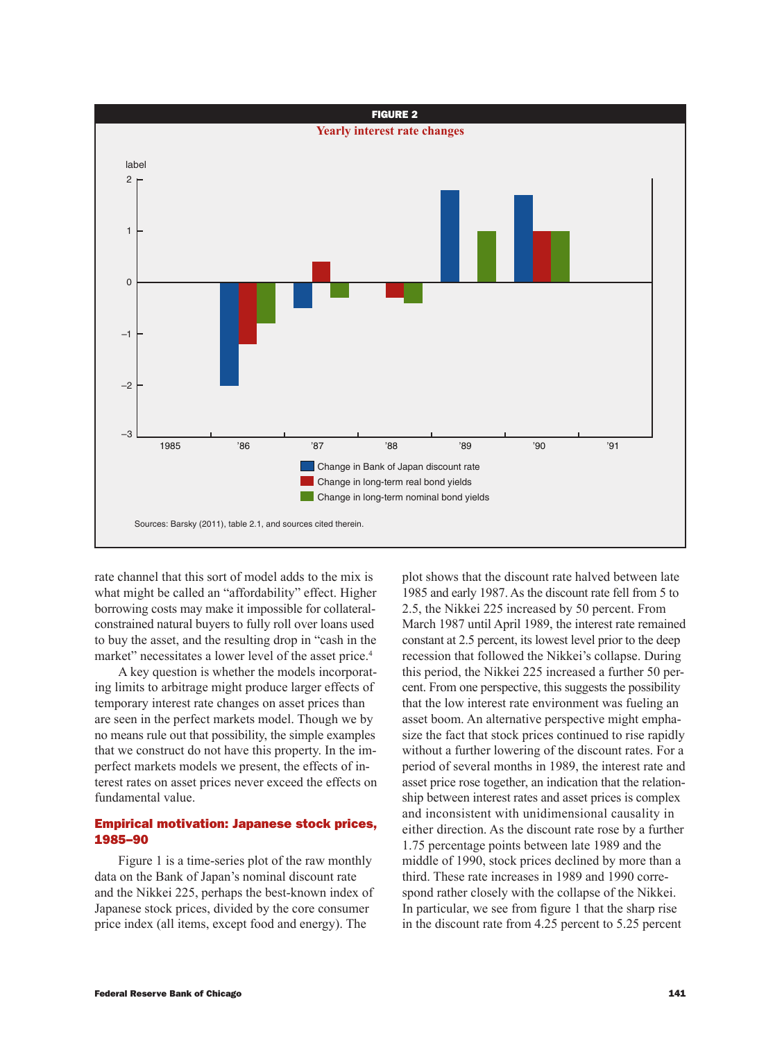

rate channel that this sort of model adds to the mix is what might be called an "affordability" effect. Higher borrowing costs may make it impossible for collateralconstrained natural buyers to fully roll over loans used to buy the asset, and the resulting drop in "cash in the market" necessitates a lower level of the asset price.<sup>4</sup>

A key question is whether the models incorporating limits to arbitrage might produce larger effects of temporary interest rate changes on asset prices than are seen in the perfect markets model. Though we by no means rule out that possibility, the simple examples that we construct do not have this property. In the imperfect markets models we present, the effects of interest rates on asset prices never exceed the effects on fundamental value.

# Empirical motivation: Japanese stock prices, 1985–90

Figure 1 is a time-series plot of the raw monthly data on the Bank of Japan's nominal discount rate and the Nikkei 225, perhaps the best-known index of Japanese stock prices, divided by the core consumer price index (all items, except food and energy). The

plot shows that the discount rate halved between late 1985 and early 1987. As the discount rate fell from 5 to 2.5, the Nikkei 225 increased by 50 percent. From March 1987 until April 1989, the interest rate remained constant at 2.5 percent, its lowest level prior to the deep recession that followed the Nikkei's collapse. During this period, the Nikkei 225 increased a further 50 percent. From one perspective, this suggests the possibility that the low interest rate environment was fueling an asset boom. An alternative perspective might emphasize the fact that stock prices continued to rise rapidly without a further lowering of the discount rates. For a period of several months in 1989, the interest rate and asset price rose together, an indication that the relationship between interest rates and asset prices is complex and inconsistent with unidimensional causality in either direction. As the discount rate rose by a further 1.75 percentage points between late 1989 and the middle of 1990, stock prices declined by more than a third. These rate increases in 1989 and 1990 correspond rather closely with the collapse of the Nikkei. In particular, we see from figure 1 that the sharp rise in the discount rate from 4.25 percent to 5.25 percent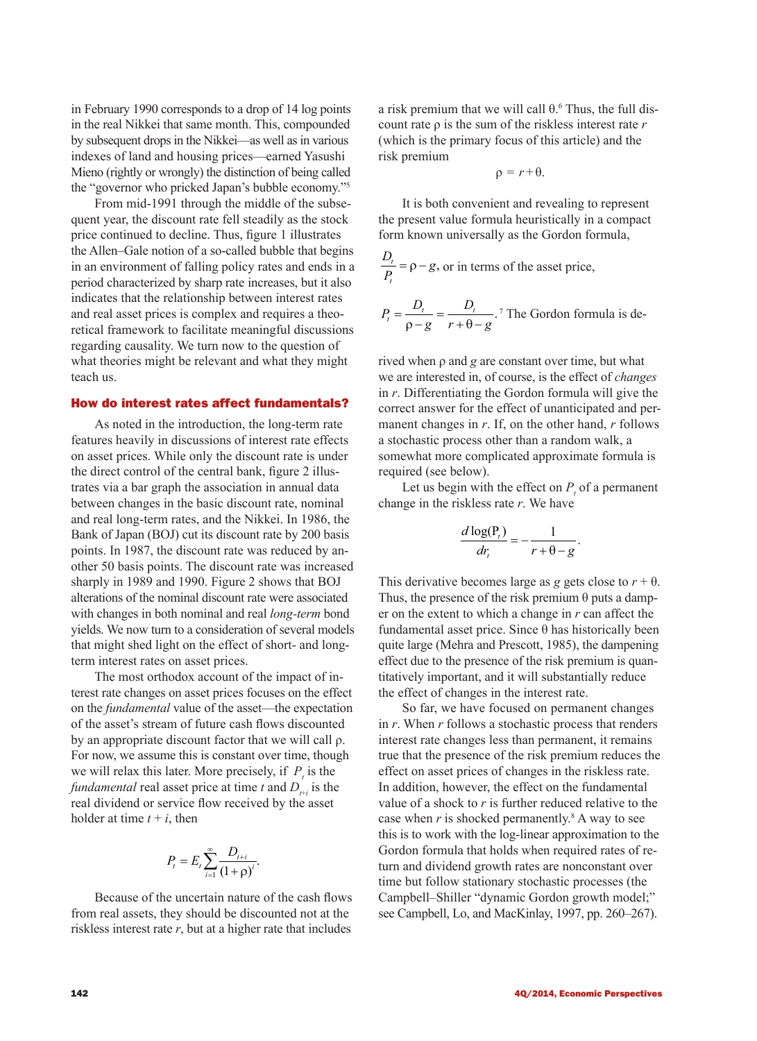in February 1990 corresponds to a drop of 14 log points in the real Nikkei that same month. This, compounded by subsequent drops in the Nikkei—as well as in various indexes of land and housing prices—earned Yasushi Mieno (rightly or wrongly) the distinction of being called the "governor who pricked Japan's bubble economy."5

From mid-1991 through the middle of the subsequent year, the discount rate fell steadily as the stock price continued to decline. Thus, figure 1 illustrates the Allen–Gale notion of a so-called bubble that begins in an environment of falling policy rates and ends in a period characterized by sharp rate increases, but it also indicates that the relationship between interest rates and real asset prices is complex and requires a theoretical framework to facilitate meaningful discussions regarding causality. We turn now to the question of what theories might be relevant and what they might teach us.

# How do interest rates affect fundamentals?

As noted in the introduction, the long-term rate features heavily in discussions of interest rate effects on asset prices. While only the discount rate is under the direct control of the central bank, figure 2 illustrates via a bar graph the association in annual data between changes in the basic discount rate, nominal and real long-term rates, and the Nikkei. In 1986, the Bank of Japan (BOJ) cut its discount rate by 200 basis points. In 1987, the discount rate was reduced by another 50 basis points. The discount rate was increased sharply in 1989 and 1990. Figure 2 shows that BOJ alterations of the nominal discount rate were associated with changes in both nominal and real *long-term* bond yields. We now turn to a consideration of several models that might shed light on the effect of short- and longterm interest rates on asset prices.

The most orthodox account of the impact of interest rate changes on asset prices focuses on the effect on the *fundamental* value of the asset—the expectation of the asset's stream of future cash flows discounted by an appropriate discount factor that we will call ρ. For now, we assume this is constant over time, though we will relax this later. More precisely, if  $P<sub>t</sub>$  is the *fundamental* real asset price at time *t* and  $D_{t+i}$  is the real dividend or service flow received by the asset holder at time  $t + i$ , then

$$
P_{t} = E_{t} \sum_{i=1}^{\infty} \frac{D_{t+i}}{(1+\rho)^{i}}.
$$

Because of the uncertain nature of the cash flows from real assets, they should be discounted not at the riskless interest rate *r*, but at a higher rate that includes

a risk premium that we will call  $\theta$ .<sup>6</sup> Thus, the full discount rate ρ is the sum of the riskless interest rate *r* (which is the primary focus of this article) and the risk premium

$$
\rho = r + \theta.
$$

It is both convenient and revealing to represent the present value formula heuristically in a compact form known universally as the Gordon formula,

$$
\frac{D_t}{P_t} = \rho - g
$$
, or in terms of the asset price,

$$
P_t = \frac{D_t}{\rho - g} = \frac{D_t}{r + \theta - g}
$$
<sup>7</sup> The Gordon formula is de-

rived when ρ and *g* are constant over time, but what we are interested in, of course, is the effect of *changes* in *r*. Differentiating the Gordon formula will give the correct answer for the effect of unanticipated and permanent changes in *r*. If, on the other hand, *r* follows a stochastic process other than a random walk, a somewhat more complicated approximate formula is required (see below).

Let us begin with the effect on  $P<sub>t</sub>$  of a permanent change in the riskless rate *r*. We have

$$
\frac{d \log(\mathbf{P}_t)}{dr_t} = -\frac{1}{r + \theta - g}.
$$

This derivative becomes large as *g* gets close to  $r + \theta$ . Thus, the presence of the risk premium  $\theta$  puts a damper on the extent to which a change in *r* can affect the fundamental asset price. Since θ has historically been quite large (Mehra and Prescott, 1985), the dampening effect due to the presence of the risk premium is quantitatively important, and it will substantially reduce the effect of changes in the interest rate.

So far, we have focused on permanent changes in *r*. When *r* follows a stochastic process that renders interest rate changes less than permanent, it remains true that the presence of the risk premium reduces the effect on asset prices of changes in the riskless rate. In addition, however, the effect on the fundamental value of a shock to *r* is further reduced relative to the case when  $r$  is shocked permanently.<sup>8</sup> A way to see this is to work with the log-linear approximation to the Gordon formula that holds when required rates of return and dividend growth rates are nonconstant over time but follow stationary stochastic processes (the Campbell–Shiller "dynamic Gordon growth model;" see Campbell, Lo, and MacKinlay, 1997, pp. 260–267).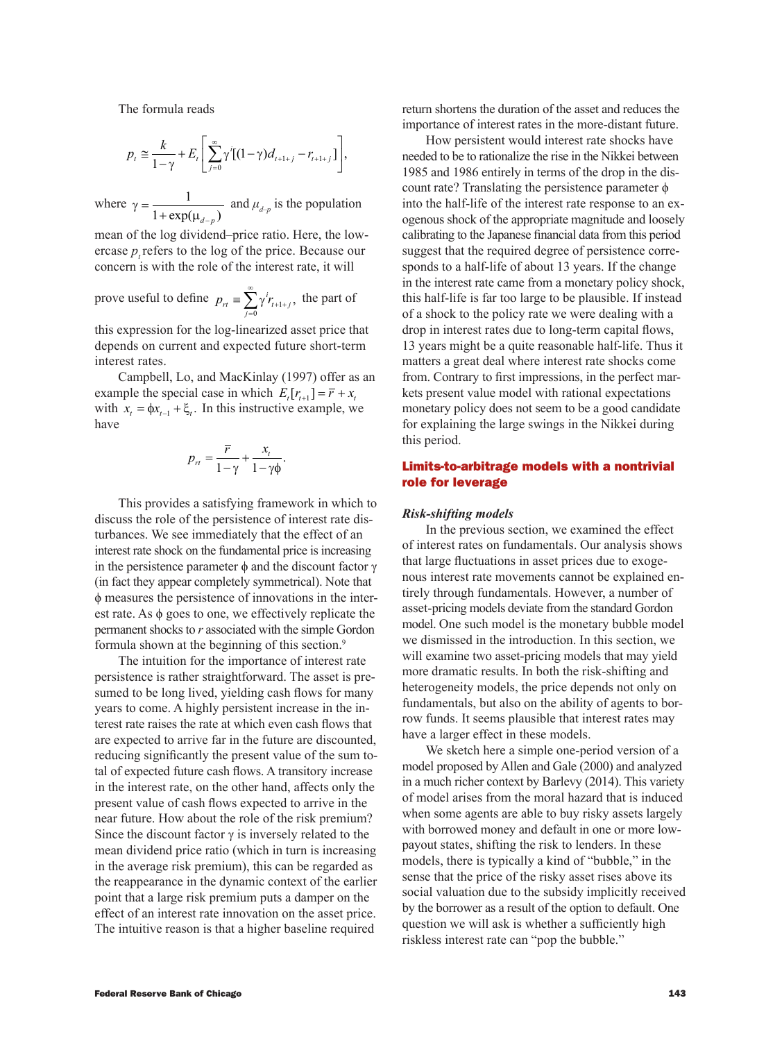The formula reads

$$
p_{t} \cong \frac{k}{1-\gamma} + E_{t} \left[ \sum_{j=0}^{\infty} \gamma^{j} [(1-\gamma)d_{t+1+j} - r_{t+1+j}] \right],
$$

where  $\gamma = \frac{1}{1 + \exp(\mu_{d-1})}$  $1 + \exp(\mu_{d-p})$ and  $\mu_{d-p}$  is the population

mean of the log dividend–price ratio. Here, the lowercase  $p_t$  refers to the log of the price. Because our concern is with the role of the interest rate, it will

prove useful to define 
$$
p_{rt} \equiv \sum_{j=0}^{\infty} \gamma^i r_{t+1+j}
$$
, the part of

this expression for the log-linearized asset price that depends on current and expected future short-term interest rates.

Campbell, Lo, and MacKinlay (1997) offer as an example the special case in which  $E_t[r_{t+1}] = \overline{r} + x_t$ with  $x_t = \phi x_{t-1} + \xi_t$ . In this instructive example, we have

$$
p_{rt} = \frac{\overline{r}}{1 - \gamma} + \frac{x_t}{1 - \gamma \Phi}.
$$

This provides a satisfying framework in which to discuss the role of the persistence of interest rate disturbances. We see immediately that the effect of an interest rate shock on the fundamental price is increasing in the persistence parameter  $φ$  and the discount factor  $γ$ (in fact they appear completely symmetrical). Note that ϕ measures the persistence of innovations in the interest rate. As  $\phi$  goes to one, we effectively replicate the permanent shocks to *r* associated with the simple Gordon formula shown at the beginning of this section.<sup>9</sup>

The intuition for the importance of interest rate persistence is rather straightforward. The asset is presumed to be long lived, yielding cash flows for many years to come. A highly persistent increase in the interest rate raises the rate at which even cash flows that are expected to arrive far in the future are discounted, reducing significantly the present value of the sum total of expected future cash flows. A transitory increase in the interest rate, on the other hand, affects only the present value of cash flows expected to arrive in the near future. How about the role of the risk premium? Since the discount factor  $\gamma$  is inversely related to the mean dividend price ratio (which in turn is increasing in the average risk premium), this can be regarded as the reappearance in the dynamic context of the earlier point that a large risk premium puts a damper on the effect of an interest rate innovation on the asset price. The intuitive reason is that a higher baseline required

return shortens the duration of the asset and reduces the importance of interest rates in the more-distant future.

How persistent would interest rate shocks have needed to be to rationalize the rise in the Nikkei between 1985 and 1986 entirely in terms of the drop in the discount rate? Translating the persistence parameter  $\phi$ into the half-life of the interest rate response to an exogenous shock of the appropriate magnitude and loosely calibrating to the Japanese financial data from this period suggest that the required degree of persistence corresponds to a half-life of about 13 years. If the change in the interest rate came from a monetary policy shock, this half-life is far too large to be plausible. If instead of a shock to the policy rate we were dealing with a drop in interest rates due to long-term capital flows, 13 years might be a quite reasonable half-life. Thus it matters a great deal where interest rate shocks come from. Contrary to first impressions, in the perfect markets present value model with rational expectations monetary policy does not seem to be a good candidate for explaining the large swings in the Nikkei during this period.

# Limits-to-arbitrage models with a nontrivial role for leverage

## *Risk-shifting models*

In the previous section, we examined the effect of interest rates on fundamentals. Our analysis shows that large fluctuations in asset prices due to exogenous interest rate movements cannot be explained entirely through fundamentals. However, a number of asset-pricing models deviate from the standard Gordon model. One such model is the monetary bubble model we dismissed in the introduction. In this section, we will examine two asset-pricing models that may yield more dramatic results. In both the risk-shifting and heterogeneity models, the price depends not only on fundamentals, but also on the ability of agents to borrow funds. It seems plausible that interest rates may have a larger effect in these models.

We sketch here a simple one-period version of a model proposed by Allen and Gale (2000) and analyzed in a much richer context by Barlevy (2014). This variety of model arises from the moral hazard that is induced when some agents are able to buy risky assets largely with borrowed money and default in one or more lowpayout states, shifting the risk to lenders. In these models, there is typically a kind of "bubble," in the sense that the price of the risky asset rises above its social valuation due to the subsidy implicitly received by the borrower as a result of the option to default. One question we will ask is whether a sufficiently high riskless interest rate can "pop the bubble."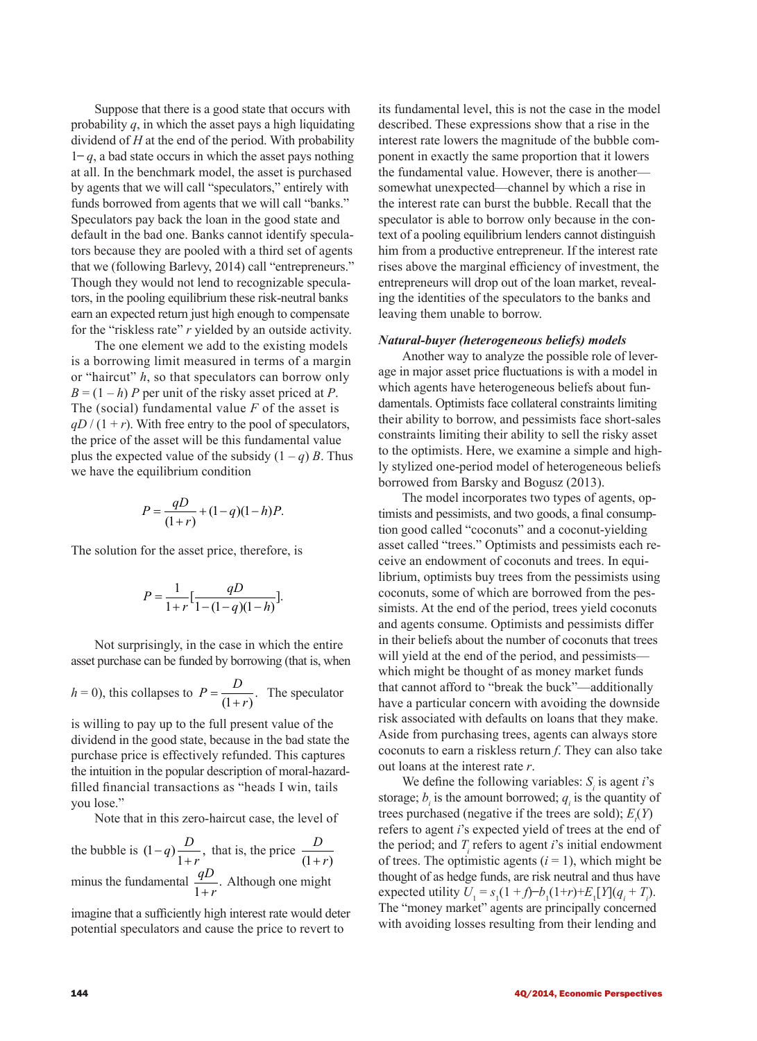Suppose that there is a good state that occurs with probability  $q$ , in which the asset pays a high liquidating dividend of *H* at the end of the period. With probability  $1 - q$ , a bad state occurs in which the asset pays nothing at all. In the benchmark model, the asset is purchased by agents that we will call "speculators," entirely with funds borrowed from agents that we will call "banks." Speculators pay back the loan in the good state and default in the bad one. Banks cannot identify speculators because they are pooled with a third set of agents that we (following Barlevy, 2014) call "entrepreneurs." Though they would not lend to recognizable speculators, in the pooling equilibrium these risk-neutral banks earn an expected return just high enough to compensate for the "riskless rate" *r* yielded by an outside activity.

The one element we add to the existing models is a borrowing limit measured in terms of a margin or "haircut" *h*, so that speculators can borrow only  $B = (1 - h)$  *P* per unit of the risky asset priced at *P*. The (social) fundamental value *F* of the asset is  $qD/(1 + r)$ . With free entry to the pool of speculators, the price of the asset will be this fundamental value plus the expected value of the subsidy  $(1 - q)$  *B*. Thus we have the equilibrium condition

$$
P = \frac{qD}{(1+r)} + (1-q)(1-h)P.
$$

The solution for the asset price, therefore, is

$$
P = \frac{1}{1+r} \left[ \frac{qD}{1-(1-q)(1-h)} \right].
$$

Not surprisingly, in the case in which the entire asset purchase can be funded by borrowing (that is, when

$$
h = 0
$$
), this collapses to  $P = \frac{D}{(1+r)}$ . The speculator

is willing to pay up to the full present value of the dividend in the good state, because in the bad state the purchase price is effectively refunded. This captures the intuition in the popular description of moral-hazardfilled financial transactions as "heads I win, tails you lose."

Note that in this zero-haircut case, the level of

the bubble is  $(1-q)\frac{D}{1+r}$ , that is, the price  $\frac{D}{(1+r)}$ minus the fundamental  $\frac{qD}{1+r}$ . Although one might

imagine that a sufficiently high interest rate would deter potential speculators and cause the price to revert to

its fundamental level, this is not the case in the model described. These expressions show that a rise in the interest rate lowers the magnitude of the bubble component in exactly the same proportion that it lowers the fundamental value. However, there is another somewhat unexpected—channel by which a rise in the interest rate can burst the bubble. Recall that the speculator is able to borrow only because in the context of a pooling equilibrium lenders cannot distinguish him from a productive entrepreneur. If the interest rate rises above the marginal efficiency of investment, the entrepreneurs will drop out of the loan market, revealing the identities of the speculators to the banks and leaving them unable to borrow.

#### *Natural-buyer (heterogeneous beliefs) models*

Another way to analyze the possible role of leverage in major asset price fluctuations is with a model in which agents have heterogeneous beliefs about fundamentals. Optimists face collateral constraints limiting their ability to borrow, and pessimists face short-sales constraints limiting their ability to sell the risky asset to the optimists. Here, we examine a simple and highly stylized one-period model of heterogeneous beliefs borrowed from Barsky and Bogusz (2013).

The model incorporates two types of agents, optimists and pessimists, and two goods, a final consumption good called "coconuts" and a coconut-yielding asset called "trees." Optimists and pessimists each receive an endowment of coconuts and trees. In equilibrium, optimists buy trees from the pessimists using coconuts, some of which are borrowed from the pessimists. At the end of the period, trees yield coconuts and agents consume. Optimists and pessimists differ in their beliefs about the number of coconuts that trees will yield at the end of the period, and pessimists which might be thought of as money market funds that cannot afford to "break the buck"—additionally have a particular concern with avoiding the downside risk associated with defaults on loans that they make. Aside from purchasing trees, agents can always store coconuts to earn a riskless return *f*. They can also take out loans at the interest rate *r*.

We define the following variables:  $S<sub>i</sub>$  is agent *i*'s storage;  $b_i$  is the amount borrowed;  $q_i$  is the quantity of trees purchased (negative if the trees are sold);  $E_t(Y)$ refers to agent *i*'s expected yield of trees at the end of the period; and  $T_i$  refers to agent *i*'s initial endowment of trees. The optimistic agents  $(i = 1)$ , which might be thought of as hedge funds, are risk neutral and thus have expected utility  $U_1 = s_1(1 + f) - b_1(1+r) + E_1[Y](q_i + T_i)$ . The "money market" agents are principally concerned with avoiding losses resulting from their lending and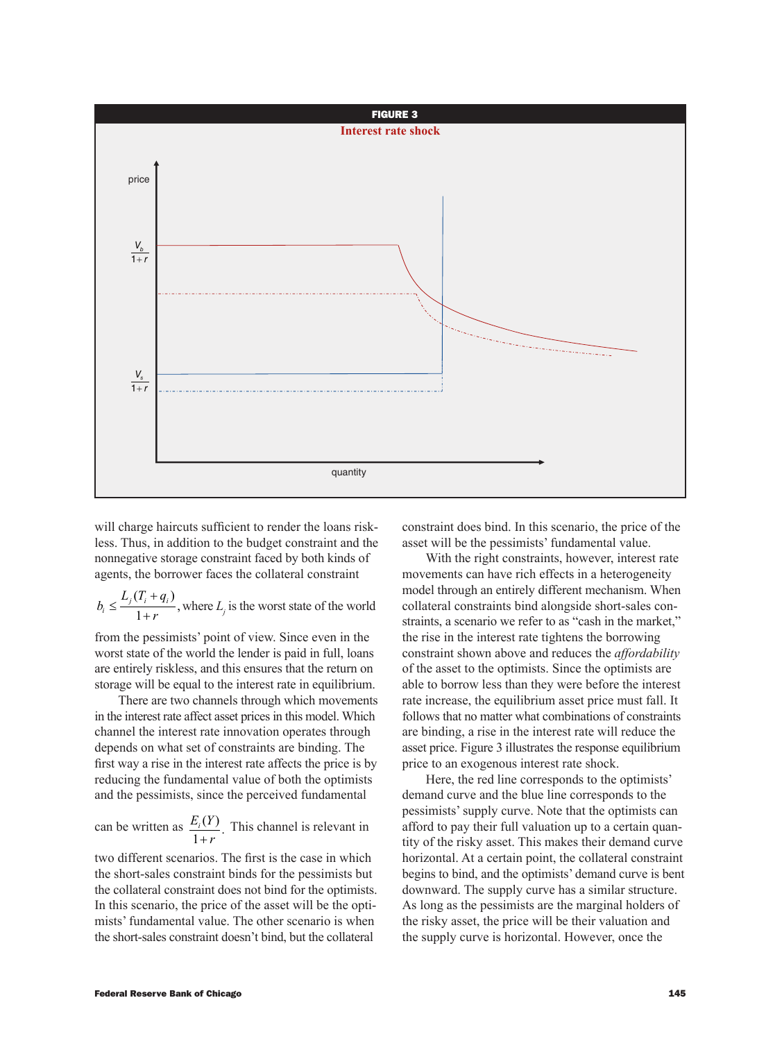

will charge haircuts sufficient to render the loans riskless. Thus, in addition to the budget constraint and the nonnegative storage constraint faced by both kinds of agents, the borrower faces the collateral constraint

$$
b_i \le \frac{L_j(T_i + q_i)}{1+r}
$$
, where  $L_j$  is the worst state of the world

from the pessimists' point of view. Since even in the worst state of the world the lender is paid in full, loans are entirely riskless, and this ensures that the return on storage will be equal to the interest rate in equilibrium.

There are two channels through which movements in the interest rate affect asset prices in this model. Which channel the interest rate innovation operates through depends on what set of constraints are binding. The first way a rise in the interest rate affects the price is by reducing the fundamental value of both the optimists and the pessimists, since the perceived fundamental

can be written as  $E_i(Y)$  $\frac{E_i(Y)}{1+r}$ . This channel is relevant in

two different scenarios. The first is the case in which the short-sales constraint binds for the pessimists but the collateral constraint does not bind for the optimists. In this scenario, the price of the asset will be the optimists' fundamental value. The other scenario is when the short-sales constraint doesn't bind, but the collateral

constraint does bind. In this scenario, the price of the asset will be the pessimists' fundamental value.

With the right constraints, however, interest rate movements can have rich effects in a heterogeneity model through an entirely different mechanism. When collateral constraints bind alongside short-sales constraints, a scenario we refer to as "cash in the market," the rise in the interest rate tightens the borrowing constraint shown above and reduces the *affordability* of the asset to the optimists. Since the optimists are able to borrow less than they were before the interest rate increase, the equilibrium asset price must fall. It follows that no matter what combinations of constraints are binding, a rise in the interest rate will reduce the asset price. Figure 3 illustrates the response equilibrium price to an exogenous interest rate shock.

Here, the red line corresponds to the optimists' demand curve and the blue line corresponds to the pessimists' supply curve. Note that the optimists can afford to pay their full valuation up to a certain quantity of the risky asset. This makes their demand curve horizontal. At a certain point, the collateral constraint begins to bind, and the optimists' demand curve is bent downward. The supply curve has a similar structure. As long as the pessimists are the marginal holders of the risky asset, the price will be their valuation and the supply curve is horizontal. However, once the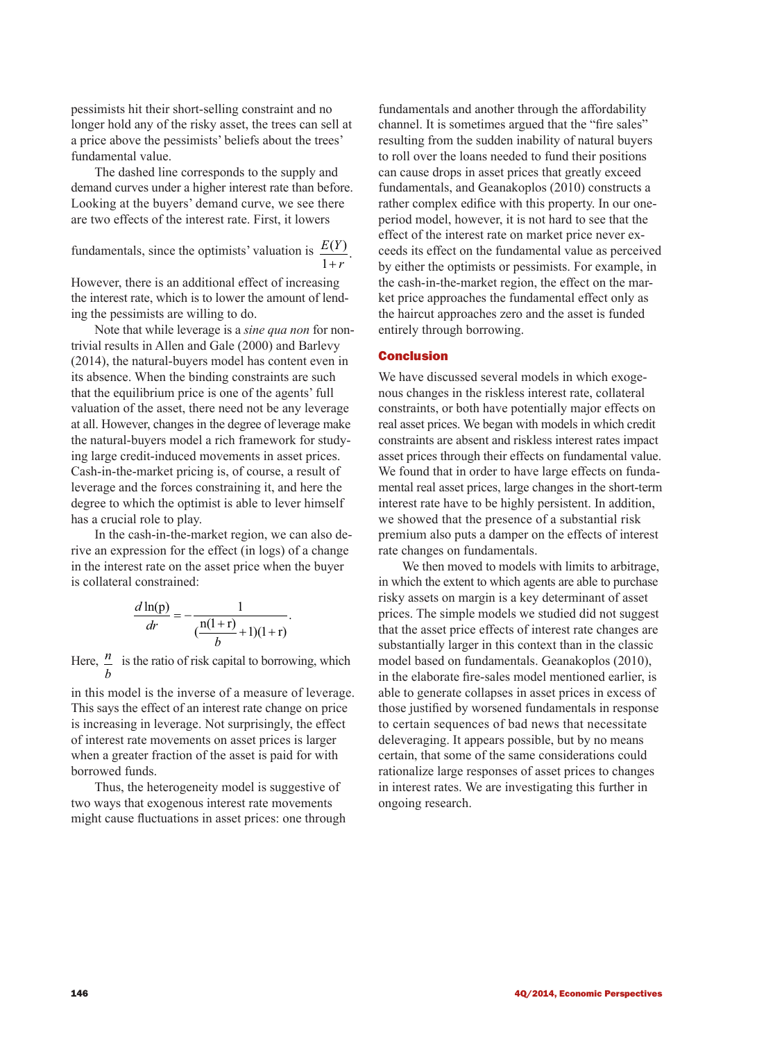pessimists hit their short-selling constraint and no longer hold any of the risky asset, the trees can sell at a price above the pessimists' beliefs about the trees' fundamental value.

The dashed line corresponds to the supply and demand curves under a higher interest rate than before. Looking at the buyers' demand curve, we see there are two effects of the interest rate. First, it lowers

fundamentals, since the optimists' valuation is  $E(Y)$  $rac{E(Y)}{1+r}$ .

However, there is an additional effect of increasing the interest rate, which is to lower the amount of lending the pessimists are willing to do.

Note that while leverage is a *sine qua non* for nontrivial results in Allen and Gale (2000) and Barlevy (2014), the natural-buyers model has content even in its absence. When the binding constraints are such that the equilibrium price is one of the agents' full valuation of the asset, there need not be any leverage at all. However, changes in the degree of leverage make the natural-buyers model a rich framework for studying large credit-induced movements in asset prices. Cash-in-the-market pricing is, of course, a result of leverage and the forces constraining it, and here the degree to which the optimist is able to lever himself has a crucial role to play.

In the cash-in-the-market region, we can also derive an expression for the effect (in logs) of a change in the interest rate on the asset price when the buyer is collateral constrained:

$$
\frac{d \ln(p)}{dr} = -\frac{1}{\left(\frac{n(1+r)}{b} + 1\right)(1+r)}.
$$

Here, *<sup>n</sup> b* is the ratio of risk capital to borrowing, which

in this model is the inverse of a measure of leverage. This says the effect of an interest rate change on price is increasing in leverage. Not surprisingly, the effect of interest rate movements on asset prices is larger when a greater fraction of the asset is paid for with borrowed funds.

Thus, the heterogeneity model is suggestive of two ways that exogenous interest rate movements might cause fluctuations in asset prices: one through fundamentals and another through the affordability channel. It is sometimes argued that the "fire sales" resulting from the sudden inability of natural buyers to roll over the loans needed to fund their positions can cause drops in asset prices that greatly exceed fundamentals, and Geanakoplos (2010) constructs a rather complex edifice with this property. In our oneperiod model, however, it is not hard to see that the effect of the interest rate on market price never exceeds its effect on the fundamental value as perceived by either the optimists or pessimists. For example, in the cash-in-the-market region, the effect on the market price approaches the fundamental effect only as the haircut approaches zero and the asset is funded entirely through borrowing.

## Conclusion

We have discussed several models in which exogenous changes in the riskless interest rate, collateral constraints, or both have potentially major effects on real asset prices. We began with models in which credit constraints are absent and riskless interest rates impact asset prices through their effects on fundamental value. We found that in order to have large effects on fundamental real asset prices, large changes in the short-term interest rate have to be highly persistent. In addition, we showed that the presence of a substantial risk premium also puts a damper on the effects of interest rate changes on fundamentals.

We then moved to models with limits to arbitrage, in which the extent to which agents are able to purchase risky assets on margin is a key determinant of asset prices. The simple models we studied did not suggest that the asset price effects of interest rate changes are substantially larger in this context than in the classic model based on fundamentals. Geanakoplos (2010), in the elaborate fire-sales model mentioned earlier, is able to generate collapses in asset prices in excess of those justified by worsened fundamentals in response to certain sequences of bad news that necessitate deleveraging. It appears possible, but by no means certain, that some of the same considerations could rationalize large responses of asset prices to changes in interest rates. We are investigating this further in ongoing research.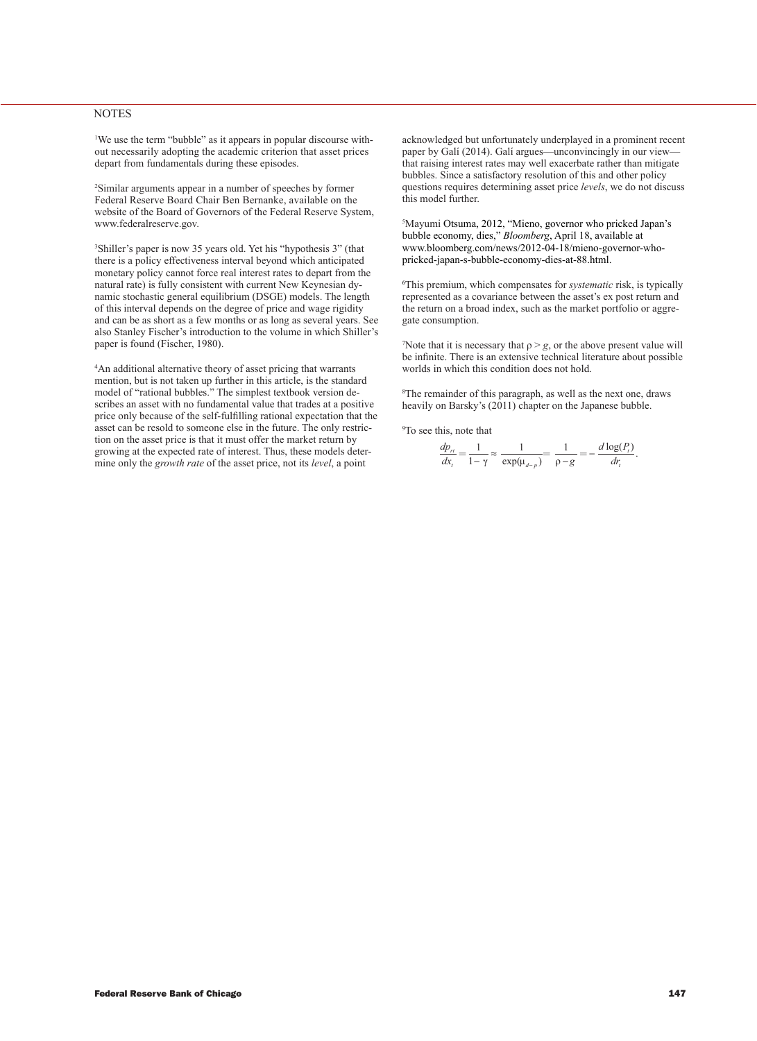#### **NOTES**

1 We use the term "bubble" as it appears in popular discourse without necessarily adopting the academic criterion that asset prices depart from fundamentals during these episodes.

2 Similar arguments appear in a number of speeches by former Federal Reserve Board Chair Ben Bernanke, available on the website of the Board of Governors of the Federal Reserve System, www.federalreserve.gov.

3 Shiller's paper is now 35 years old. Yet his "hypothesis 3" (that there is a policy effectiveness interval beyond which anticipated monetary policy cannot force real interest rates to depart from the natural rate) is fully consistent with current New Keynesian dynamic stochastic general equilibrium (DSGE) models. The length of this interval depends on the degree of price and wage rigidity and can be as short as a few months or as long as several years. See also Stanley Fischer's introduction to the volume in which Shiller's paper is found (Fischer, 1980).

4 An additional alternative theory of asset pricing that warrants mention, but is not taken up further in this article, is the standard model of "rational bubbles." The simplest textbook version describes an asset with no fundamental value that trades at a positive price only because of the self-fulfilling rational expectation that the asset can be resold to someone else in the future. The only restriction on the asset price is that it must offer the market return by growing at the expected rate of interest. Thus, these models determine only the *growth rate* of the asset price, not its *level*, a point

acknowledged but unfortunately underplayed in a prominent recent paper by Galí (2014). Galí argues—unconvincingly in our viewthat raising interest rates may well exacerbate rather than mitigate bubbles. Since a satisfactory resolution of this and other policy questions requires determining asset price *levels*, we do not discuss this model further.

5 Mayumi Otsuma, 2012, "Mieno, governor who pricked Japan's bubble economy, dies," *Bloomberg*, April 18, available at www.bloomberg.com/news/2012-04-18/mieno-governor-whopricked-japan-s-bubble-economy-dies-at-88.html.

6 This premium, which compensates for *systematic* risk, is typically represented as a covariance between the asset's ex post return and the return on a broad index, such as the market portfolio or aggregate consumption.

The 7Note that it is necessary that  $\rho > g$ , or the above present value will be infinite. There is an extensive technical literature about possible worlds in which this condition does not hold.

8 The remainder of this paragraph, as well as the next one, draws heavily on Barsky's (2011) chapter on the Japanese bubble.

9 To see this, note that

$$
\frac{dp_n}{dx_i} = \frac{1}{1-\gamma} \approx \frac{1}{\exp(\mu_{d-p})} = \frac{1}{\rho-g} = -\frac{d \log(P_i)}{dr_i}.
$$